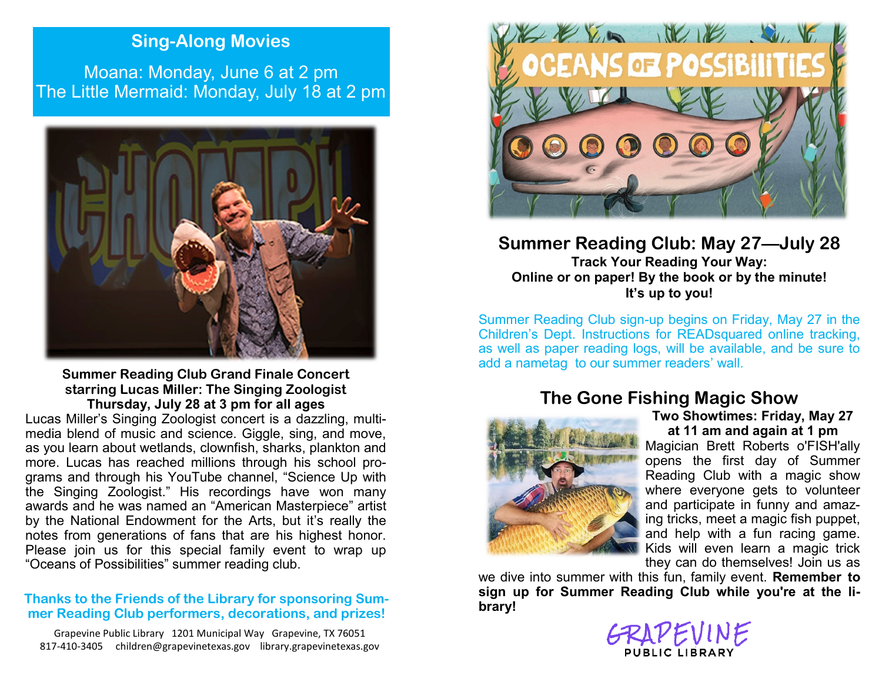## **Sing-Along Movies**

Moana: Monday, June 6 at 2 pm The Little Mermaid: Monday, July 18 at 2 pm



**Summer Reading Club Grand Finale Concert starring Lucas Miller: The Singing Zoologist Thursday, July 28 at 3 pm for all ages**

Lucas Miller's Singing Zoologist concert is a dazzling, multimedia blend of music and science. Giggle, sing, and move, as you learn about wetlands, clownfish, sharks, plankton and more. Lucas has reached millions through his school programs and through his YouTube channel, "Science Up with the Singing Zoologist." His recordings have won many awards and he was named an "American Masterpiece" artist by the National Endowment for the Arts, but it's really the notes from generations of fans that are his highest honor. Please join us for this special family event to wrap up "Oceans of Possibilities" summer reading club.

### **Thanks to the Friends of the Library for sponsoring Summer Reading Club performers, decorations, and prizes!**

Grapevine Public Library 1201 Municipal Way Grapevine, TX 76051 817-410-3405 children@grapevinetexas.gov library.grapevinetexas.gov



### **Summer Reading Club: May 27—July 28 Track Your Reading Your Way: Online or on paper! By the book or by the minute! It's up to you!**

Summer Reading Club sign-up begins on Friday, May 27 in the Children's Dept. Instructions for READsquared online tracking, as well as paper reading logs, will be available, and be sure to add a nametag to our summer readers' wall.

# **The Gone Fishing Magic Show**



**Two Showtimes: Friday, May 27 at 11 am and again at 1 pm**

Magician Brett Roberts o'FISH'ally opens the first day of Summer Reading Club with a magic show where everyone gets to volunteer and participate in funny and amazing tricks, meet a magic fish puppet, and help with a fun racing game. Kids will even learn a magic trick they can do themselves! Join us as

we dive into summer with this fun, family event. **Remember to sign up for Summer Reading Club while you're at the library!**